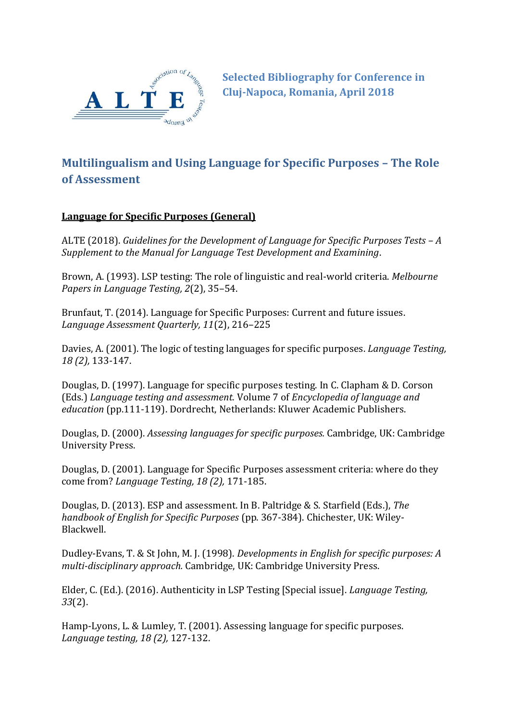

**Selected Bibliography for Conference in Cluj-Napoca, Romania, April 2018**

# **Multilingualism and Using Language for Specific Purposes – The Role of Assessment**

## **Language for Specific Purposes (General)**

ALTE (2018). *Guidelines for the Development of Language for Specific Purposes Tests - A Supplement to the Manual for Language Test Development and Examining*.

Brown, A. (1993). LSP testing: The role of linguistic and real-world criteria. *Melbourne Papers in Language Testing, 2*(2), 35–54.

Brunfaut, T. (2014). Language for Specific Purposes: Current and future issues. *Language Assessment Quarterly, 11*(2), 216–225

Davies, A. (2001). The logic of testing languages for specific purposes. *Language Testing, 18 (2),* 133-147.

Douglas, D. (1997). Language for specific purposes testing. In C. Clapham & D. Corson (Eds.) *Language testing and assessment.* Volume 7 of *Encyclopedia of language and education* (pp.111-119). Dordrecht, Netherlands: Kluwer Academic Publishers.

Douglas, D. (2000). *Assessing languages for specific purposes.* Cambridge, UK: Cambridge University Press.

Douglas, D. (2001). Language for Specific Purposes assessment criteria: where do they come from? *Language Testing, 18 (2),* 171-185.

Douglas, D. (2013). ESP and assessment. In B. Paltridge & S. Starfield (Eds.), *The handbook of English for Specific Purposes* (pp. 367-384). Chichester, UK: Wiley-Blackwell.

Dudley-Evans, T. & St John, M. J. (1998). *Developments in English for specific purposes: A multi-disciplinary approach.* Cambridge, UK: Cambridge University Press.

Elder, C. (Ed.). (2016). Authenticity in LSP Testing [Special issue]. *Language Testing, 33*(2).

Hamp-Lyons, L. & Lumley, T. (2001). Assessing language for specific purposes. *Language testing, 18 (2),* 127-132.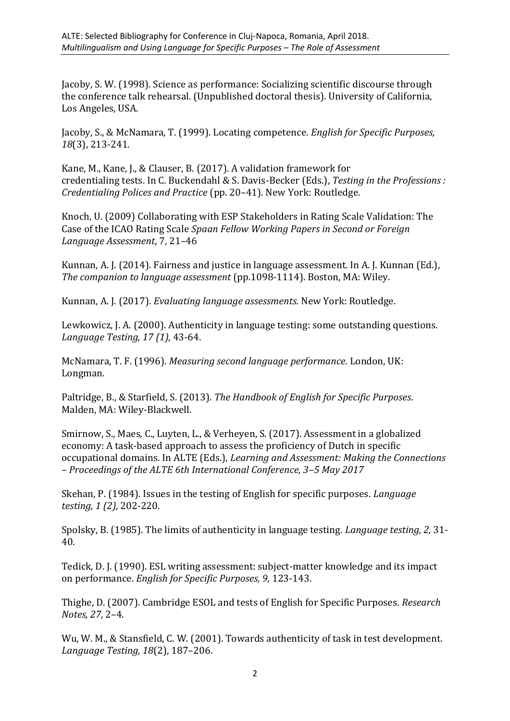Jacoby, S. W. (1998). Science as performance: Socializing scientific discourse through the conference talk rehearsal. (Unpublished doctoral thesis). University of California, Los Angeles, USA.

Jacoby, S., & McNamara, T. (1999). Locating competence. *English for Specific Purposes, 18*(3), 213-241.

Kane, M., Kane, J., & Clauser, B. (2017). A validation framework for credentialing tests. In C. Buckendahl & S. Davis-Becker (Eds.), *Testing in the Professions : Credentialing Polices and Practice* (pp. 20–41). New York: Routledge.

Knoch, U. (2009) Collaborating with ESP Stakeholders in Rating Scale Validation: The Case of the ICAO Rating Scale *Spaan Fellow Working Papers in Second or Foreign Language Assessment*, 7, 21–46

Kunnan, A. J. (2014). Fairness and justice in language assessment. In A. J. Kunnan (Ed.), *The companion to language assessment* (pp.1098-1114). Boston, MA: Wiley.

Kunnan, A. J. (2017). *Evaluating language assessments.* New York: Routledge.

Lewkowicz, J. A. (2000). Authenticity in language testing: some outstanding questions. *Language Testing, 17 (1),* 43-64.

McNamara, T. F. (1996). *Measuring second language performance*. London, UK: Longman.

Paltridge, B., & Starfield, S. (2013). *The Handbook of English for Specific Purposes*. Malden, MA: Wiley-Blackwell.

Smirnow, S., Maes, C., Luyten, L., & Verheyen, S. (2017). Assessment in a globalized economy: A task-based approach to assess the proficiency of Dutch in specific occupational domains. In ALTE (Eds.), *Learning and Assessment: Making the Connections – Proceedings of the ALTE 6th International Conference, 3–5 May 2017*

Skehan, P. (1984). Issues in the testing of English for specific purposes. *Language testing, 1 (2),* 202-220.

Spolsky, B. (1985). The limits of authenticity in language testing. *Language testing, 2,* 31- 40.

Tedick, D. J. (1990). ESL writing assessment: subject-matter knowledge and its impact on performance. *English for Specific Purposes, 9,* 123-143.

Thighe, D. (2007). Cambridge ESOL and tests of English for Specific Purposes. *Research Notes, 27*, 2–4.

Wu, W. M., & Stansfield, C. W. (2001). Towards authenticity of task in test development. *Language Testing, 18*(2), 187–206.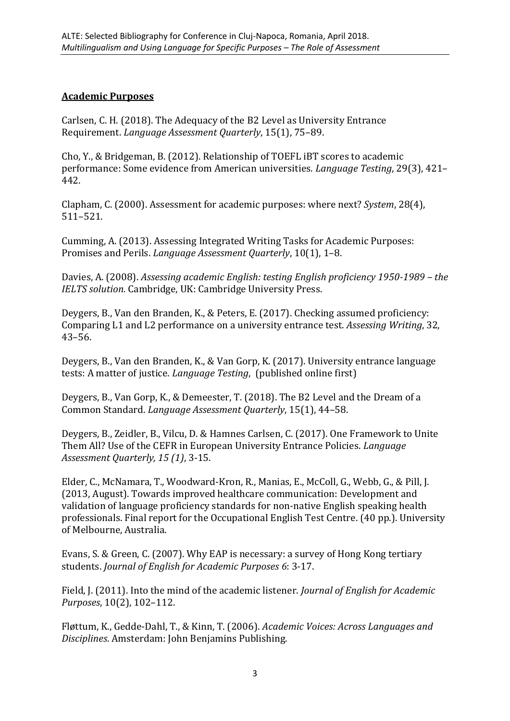## **Academic Purposes**

Carlsen, C. H. (2018). The Adequacy of the B2 Level as University Entrance Requirement. *Language Assessment Quarterly*, 15(1), 75–89.

Cho, Y., & Bridgeman, B. (2012). Relationship of TOEFL iBT scores to academic performance: Some evidence from American universities. *Language Testing*, 29(3), 421– 442.

Clapham, C. (2000). Assessment for academic purposes: where next? *System*, 28(4), 511–521.

Cumming, A. (2013). Assessing Integrated Writing Tasks for Academic Purposes: Promises and Perils. *Language Assessment Quarterly*, 10(1), 1–8.

Davies, A. (2008). *Assessing academic English: testing English proficiency 1950-1989 - the IELTS solution.* Cambridge, UK: Cambridge University Press.

Deygers, B., Van den Branden, K., & Peters, E. (2017). Checking assumed proficiency: Comparing L1 and L2 performance on a university entrance test. *Assessing Writing*, 32, 43–56.

Deygers, B., Van den Branden, K., & Van Gorp, K. (2017). University entrance language tests: A matter of justice. *Language Testing*, (published online first)

Deygers, B., Van Gorp, K., & Demeester, T. (2018). The B2 Level and the Dream of a Common Standard. *Language Assessment Quarterly*, 15(1), 44–58.

Deygers, B., Zeidler, B., Vilcu, D. & Hamnes Carlsen, C. (2017). One Framework to Unite Them All? Use of the CEFR in European University Entrance Policies. *Language Assessment Quarterly, 15 (1)*, 3-15.

Elder, C., McNamara, T., Woodward-Kron, R., Manias, E., McColl, G., Webb, G., & Pill, J. (2013, August). Towards improved healthcare communication: Development and validation of language proficiency standards for non-native English speaking health professionals. Final report for the Occupational English Test Centre. (40 pp.). University of Melbourne, Australia.

Evans, S. & Green, C. (2007). Why EAP is necessary: a survey of Hong Kong tertiary students. *Journal of English for Academic Purposes 6*: 3-17.

Field, J. (2011). Into the mind of the academic listener. *Journal of English for Academic Purposes*, 10(2), 102–112.

Fløttum, K., Gedde-Dahl, T., & Kinn, T. (2006). *Academic Voices: Across Languages and Disciplines*. Amsterdam: John Benjamins Publishing.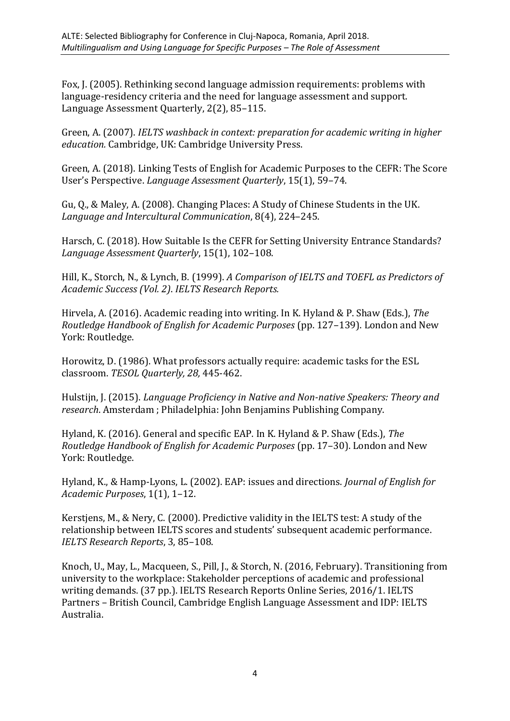Fox, J. (2005). Rethinking second language admission requirements: problems with language-residency criteria and the need for language assessment and support. Language Assessment Quarterly, 2(2), 85–115.

Green, A. (2007). *IELTS washback in context: preparation for academic writing in higher education.* Cambridge, UK: Cambridge University Press.

Green, A. (2018). Linking Tests of English for Academic Purposes to the CEFR: The Score User's Perspective. *Language Assessment Quarterly*, 15(1), 59–74.

Gu, Q., & Maley, A. (2008). Changing Places: A Study of Chinese Students in the UK. *Language and Intercultural Communication*, 8(4), 224–245.

Harsch, C. (2018). How Suitable Is the CEFR for Setting University Entrance Standards? *Language Assessment Quarterly*, 15(1), 102–108.

Hill, K., Storch, N., & Lynch, B. (1999). *A Comparison of IELTS and TOEFL as Predictors of Academic Success (Vol. 2)*. *IELTS Research Reports.*

Hirvela, A. (2016). Academic reading into writing. In K. Hyland & P. Shaw (Eds.), *The Routledge Handbook of English for Academic Purposes* (pp. 127–139). London and New York: Routledge.

Horowitz, D. (1986). What professors actually require: academic tasks for the ESL classroom. *TESOL Quarterly, 28,* 445-462.

Hulstijn, J. (2015). *Language Proficiency in Native and Non-native Speakers: Theory and research*. Amsterdam ; Philadelphia: John Benjamins Publishing Company.

Hyland, K. (2016). General and specific EAP. In K. Hyland & P. Shaw (Eds.), *The Routledge Handbook of English for Academic Purposes* (pp. 17–30). London and New York: Routledge.

Hyland, K., & Hamp-Lyons, L. (2002). EAP: issues and directions. *Journal of English for Academic Purposes*, 1(1), 1–12.

Kerstjens, M., & Nery, C. (2000). Predictive validity in the IELTS test: A study of the relationship between IELTS scores and students' subsequent academic performance. *IELTS Research Reports*, 3, 85–108.

Knoch, U., May, L., Macqueen, S., Pill, J., & Storch, N. (2016, February). Transitioning from university to the workplace: Stakeholder perceptions of academic and professional writing demands. (37 pp.). IELTS Research Reports Online Series, 2016/1. IELTS Partners – British Council, Cambridge English Language Assessment and IDP: IELTS Australia.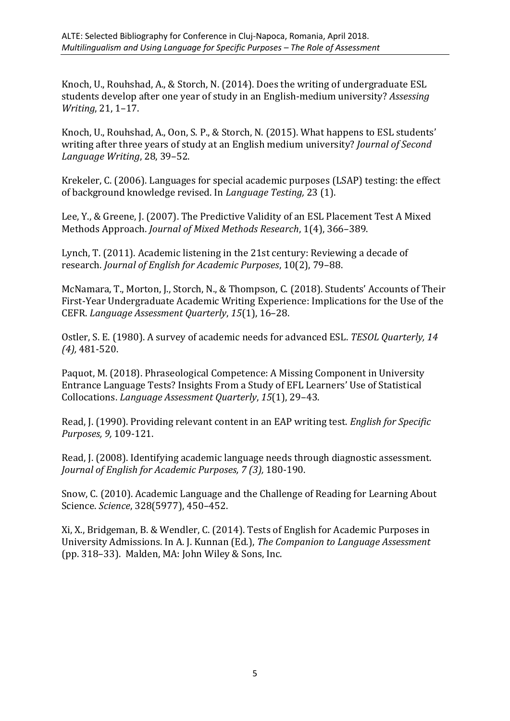Knoch, U., Rouhshad, A., & Storch, N. (2014). Does the writing of undergraduate ESL students develop after one year of study in an English-medium university? *Assessing Writing*, 21, 1–17.

Knoch, U., Rouhshad, A., Oon, S. P., & Storch, N. (2015). What happens to ESL students' writing after three years of study at an English medium university? *Journal of Second Language Writing*, 28, 39–52.

Krekeler, C. (2006). Languages for special academic purposes (LSAP) testing: the effect of background knowledge revised. In *Language Testing,* 23 (1).

Lee, Y., & Greene, J. (2007). The Predictive Validity of an ESL Placement Test A Mixed Methods Approach. *Journal of Mixed Methods Research*, 1(4), 366–389.

Lynch, T. (2011). Academic listening in the 21st century: Reviewing a decade of research. *Journal of English for Academic Purposes*, 10(2), 79–88.

McNamara, T., Morton, J., Storch, N., & Thompson, C. (2018). Students' Accounts of Their First-Year Undergraduate Academic Writing Experience: Implications for the Use of the CEFR. *Language Assessment Quarterly*, *15*(1), 16–28.

Ostler, S. E. (1980). A survey of academic needs for advanced ESL. *TESOL Quarterly, 14 (4),* 481-520.

Paquot, M. (2018). Phraseological Competence: A Missing Component in University Entrance Language Tests? Insights From a Study of EFL Learners' Use of Statistical Collocations. *Language Assessment Quarterly*, *15*(1), 29–43.

Read, J. (1990). Providing relevant content in an EAP writing test. *English for Specific Purposes, 9,* 109-121.

Read, J. (2008). Identifying academic language needs through diagnostic assessment. *Journal of English for Academic Purposes, 7 (3),* 180-190.

Snow, C. (2010). Academic Language and the Challenge of Reading for Learning About Science. *Science*, 328(5977), 450–452.

Xi, X., Bridgeman, B. & Wendler, C. (2014). Tests of English for Academic Purposes in University Admissions. In A. J. Kunnan (Ed.), *The Companion to Language Assessment* (pp. 318–33). Malden, MA: John Wiley & Sons, Inc.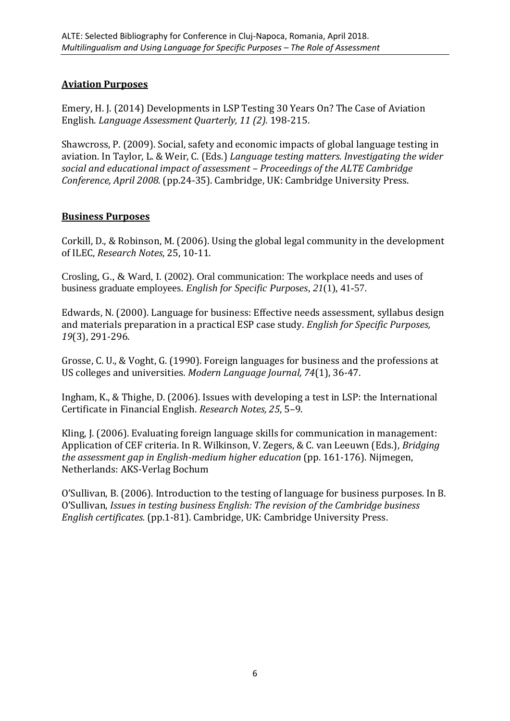## **Aviation Purposes**

Emery, H. J. (2014) Developments in LSP Testing 30 Years On? The Case of Aviation English. *Language Assessment Quarterly, 11 (2).* 198-215.

Shawcross, P. (2009). Social, safety and economic impacts of global language testing in aviation. In Taylor, L. & Weir, C. (Eds.) *Language testing matters. Investigating the wider social and educational impact of assessment – Proceedings of the ALTE Cambridge Conference, April 2008.* (pp.24-35). Cambridge, UK: Cambridge University Press.

#### **Business Purposes**

Corkill, D., & Robinson, M. (2006). Using the global legal community in the development of ILEC, *Research Notes*, 25, 10-11.

Crosling, G., & Ward, I. (2002). Oral communication: The workplace needs and uses of business graduate employees. *English for Specific Purposes, 21*(1), 41-57.

Edwards, N. (2000). Language for business: Effective needs assessment, syllabus design and materials preparation in a practical ESP case study. *English for Specific Purposes, 19*(3), 291-296.

Grosse, C. U., & Voght, G. (1990). Foreign languages for business and the professions at US colleges and universities. *Modern Language Journal, 74*(1), 36-47.

Ingham, K., & Thighe, D. (2006). Issues with developing a test in LSP: the International Certificate in Financial English. *Research Notes, 25*, 5–9.

Kling, J. (2006). Evaluating foreign language skills for communication in management: Application of CEF criteria. In R. Wilkinson, V. Zegers, & C. van Leeuwn (Eds.), *Bridging the assessment gap in English-medium higher education* (pp. 161-176). Nijmegen, Netherlands: AKS-Verlag Bochum

O'Sullivan, B. (2006). Introduction to the testing of language for business purposes. In B. O'Sullivan, *Issues in testing business English: The revision of the Cambridge business English certificates.* (pp.1-81). Cambridge, UK: Cambridge University Press.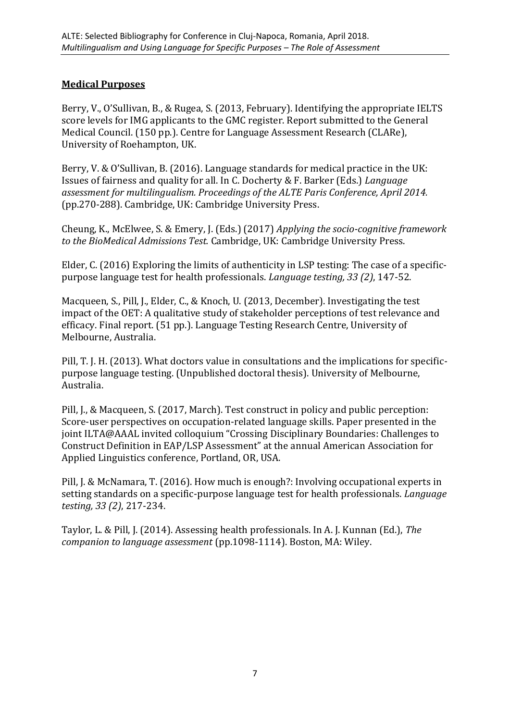## **Medical Purposes**

Berry, V., O'Sullivan, B., & Rugea, S. (2013, February). Identifying the appropriate IELTS score levels for IMG applicants to the GMC register. Report submitted to the General Medical Council. (150 pp.). Centre for Language Assessment Research (CLARe), University of Roehampton, UK.

Berry, V. & O'Sullivan, B. (2016). Language standards for medical practice in the UK: Issues of fairness and quality for all. In C. Docherty & F. Barker (Eds.) *Language assessment for multilingualism. Proceedings of the ALTE Paris Conference, April 2014.*  (pp.270-288). Cambridge, UK: Cambridge University Press.

Cheung, K., McElwee, S. & Emery, J. (Eds.) (2017) *Applying the socio-cognitive framework to the BioMedical Admissions Test.* Cambridge, UK: Cambridge University Press.

Elder, C. (2016) Exploring the limits of authenticity in LSP testing: The case of a specificpurpose language test for health professionals. *Language testing, 33 (2)*, 147-52.

Macqueen, S., Pill, J., Elder, C., & Knoch, U. (2013, December). Investigating the test impact of the OET: A qualitative study of stakeholder perceptions of test relevance and efficacy. Final report. (51 pp.). Language Testing Research Centre, University of Melbourne, Australia.

Pill, T. J. H. (2013). What doctors value in consultations and the implications for specificpurpose language testing. (Unpublished doctoral thesis). University of Melbourne, Australia.

Pill, J., & Macqueen, S. (2017, March). Test construct in policy and public perception: Score-user perspectives on occupation-related language skills. Paper presented in the joint ILTA@AAAL invited colloquium "Crossing Disciplinary Boundaries: Challenges to Construct Definition in EAP/LSP Assessment" at the annual American Association for Applied Linguistics conference, Portland, OR, USA.

Pill, J. & McNamara, T. (2016). How much is enough?: Involving occupational experts in setting standards on a specific-purpose language test for health professionals. *Language testing, 33 (2)*, 217-234.

Taylor, L. & Pill, J. (2014). Assessing health professionals. In A. J. Kunnan (Ed.), *The companion to language assessment* (pp.1098-1114). Boston, MA: Wiley.